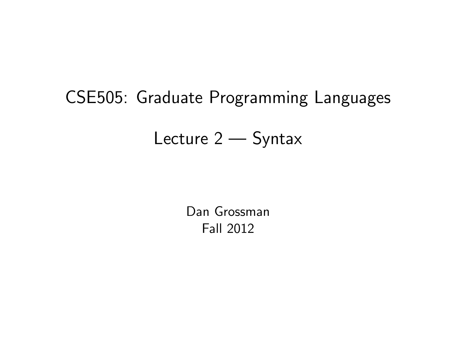# CSE505: Graduate Programming Languages

# Lecture 2 — Syntax

<span id="page-0-0"></span>Dan Grossman Fall 2012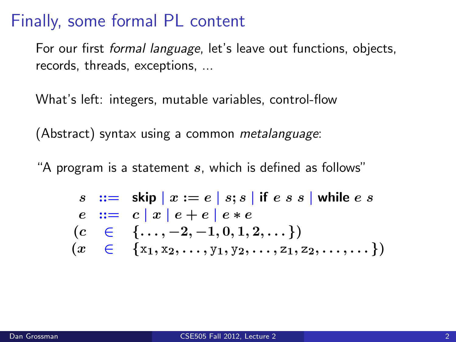#### Finally, some formal PL content

For our first *formal language*, let's leave out functions, objects, records, threads, exceptions, ...

What's left: integers, mutable variables, control-flow

(Abstract) syntax using a common *metalanguage*:

"A program is a statement  $s$ , which is defined as follows"

$$
s ::= skip | x := e | s; s | if e s s | while e s
$$
  
\n
$$
e ::= c | x | e + e | e * e
$$
  
\n
$$
(c \in \{..., -2, -1, 0, 1, 2, ...\})
$$
  
\n
$$
(x \in \{x_1, x_2, ..., y_1, y_2, ..., z_1, z_2, ..., ... \})
$$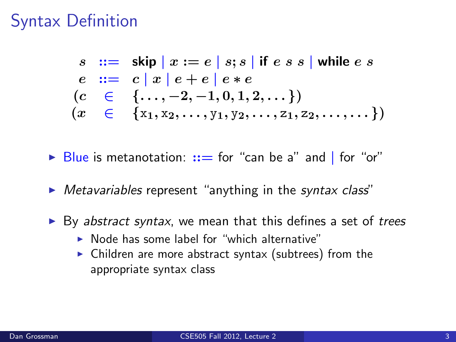# Syntax Definition

 $s \equiv \text{skip} | x := e | s; s |$  if  $e s s |$  while  $e s$  $e := c |x| e + e |e * e$  $(c \in \{\ldots, -2, -1, 0, 1, 2, \ldots\})$  $(x \in \{x_1, x_2, \ldots, y_1, y_2, \ldots, z_1, z_2, \ldots, \ldots\})$ 

- $\triangleright$  Blue is metanotation:  $::=$  for "can be a" and I for "or"
- $\triangleright$  Metavariables represent "anything in the syntax class"
- $\triangleright$  By abstract syntax, we mean that this defines a set of trees
	- $\triangleright$  Node has some label for "which alternative"
	- $\triangleright$  Children are more abstract syntax (subtrees) from the appropriate syntax class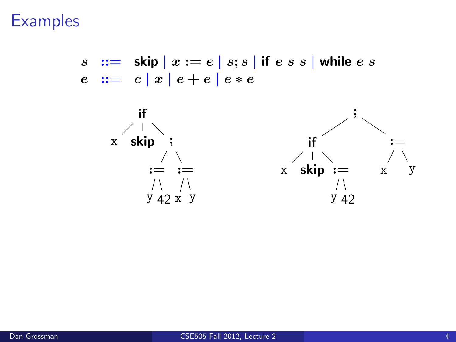**Examples** 

 $s := \sin |x := e |s; s |$  if  $e s s |$  while  $e s$  $e := c |x| e + e |e * e$ 

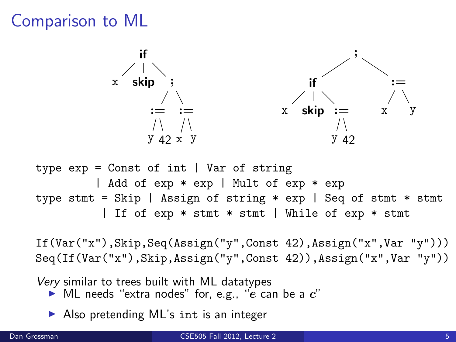# Comparison to ML



| Add of exp \* exp | Mult of exp \* exp type stmt = Skip | Assign of string \* exp | Seq of stmt \* stmt | If of exp \* stmt \* stmt | While of exp \* stmt

If(Var("x"),Skip,Seq(Assign("y",Const 42),Assign("x",Var "y"))) Seq(If(Var("x"),Skip,Assign("y",Const 42)),Assign("x",Var "y"))

Very similar to trees built with ML datatypes

- $\blacktriangleright$  ML needs "extra nodes" for, e.g., "e can be a  $c$ "
- $\triangleright$  Also pretending ML's int is an integer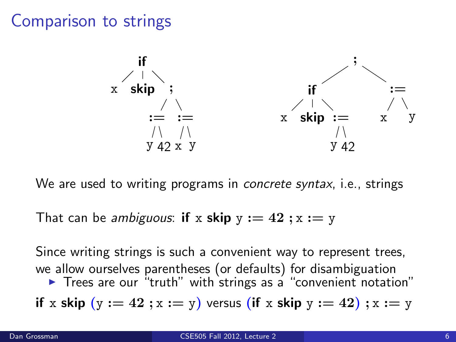#### Comparison to strings



We are used to writing programs in *concrete syntax*, *i.e.*, strings

That can be *ambiguous*: if x skip  $y := 42$ ;  $x := y$ 

Since writing strings is such a convenient way to represent trees, we allow ourselves parentheses (or defaults) for disambiguation  $\triangleright$  Trees are our "truth" with strings as a "convenient notation" if x skip  $(y := 42; x := y)$  versus (if x skip  $y := 42$ );  $x := y$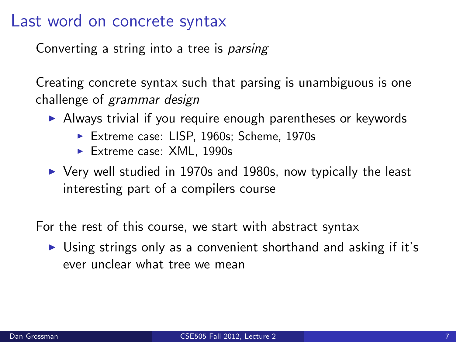#### Last word on concrete syntax

Converting a string into a tree is parsing

Creating concrete syntax such that parsing is unambiguous is one challenge of grammar design

- $\triangleright$  Always trivial if you require enough parentheses or keywords
	- ▶ Extreme case: LISP, 1960s; Scheme, 1970s
	- $\blacktriangleright$  Extreme case: XML, 1990s
- $\triangleright$  Very well studied in 1970s and 1980s, now typically the least interesting part of a compilers course

For the rest of this course, we start with abstract syntax

 $\triangleright$  Using strings only as a convenient shorthand and asking if it's ever unclear what tree we mean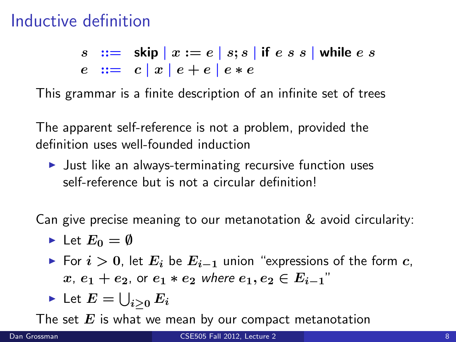# Inductive definition

s ::= skip | x := e | s; s | if e s s | while e s  $e := c |x| e + e |e * e$ 

This grammar is a finite description of an infinite set of trees

The apparent self-reference is not a problem, provided the definition uses well-founded induction

 $\blacktriangleright$  Just like an always-terminating recursive function uses self-reference but is not a circular definition!

Can give precise meaning to our metanotation & avoid circularity:

- $\blacktriangleright$  Let  $E_0 = \emptyset$
- ► For  $i > 0$ , let  $E_i$  be  $E_{i-1}$  union "expressions of the form c,  $x, e_1 + e_2$ , or  $e_1 * e_2$  where  $e_1, e_2 \in E_{i-1}$ "

Let 
$$
E = \bigcup_{i \geq 0} E_i
$$

The set  $E$  is what we mean by our compact metanotation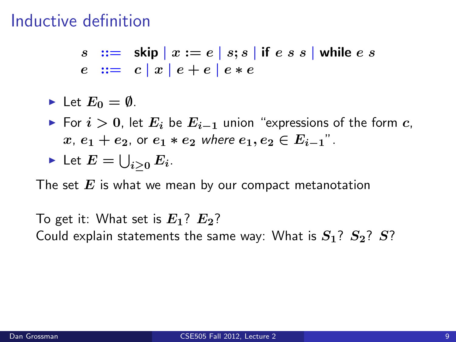# Inductive definition

 $s \nightharpoonup := \nightharpoonup$  skip  $x := e \mid s; s \mid$  if  $e \mid s \mid s \mid$  while  $e \mid s \mid s \mid s \mid$  $e := c |x| e + e |e * e$ 

$$
\blacktriangleright \ \mathsf{Let} \ E_0 = \emptyset.
$$

► For  $i > 0$ , let  $E_i$  be  $E_{i-1}$  union "expressions of the form c,  $x, e_1 + e_2$ , or  $e_1 * e_2$  where  $e_1, e_2 \in E_{i-1}$ ".

Let 
$$
E = \bigcup_{i \geq 0} E_i
$$
.

The set  $E$  is what we mean by our compact metanotation

To get it: What set is  $E_1$ ?  $E_2$ ? Could explain statements the same way: What is  $S_1$ ?  $S_2$ ?  $S$ ?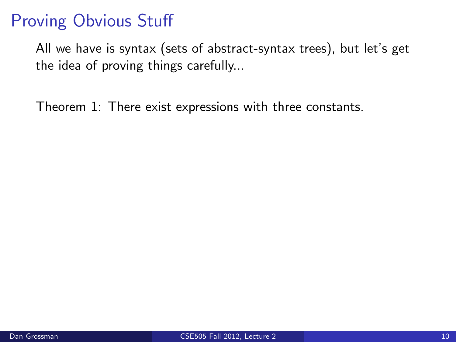# Proving Obvious Stuff

All we have is syntax (sets of abstract-syntax trees), but let's get the idea of proving things carefully...

Theorem 1: There exist expressions with three constants.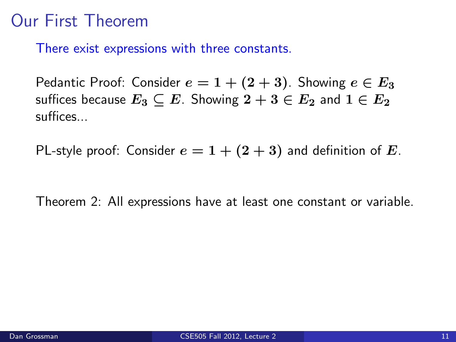# Our First Theorem

There exist expressions with three constants.

Pedantic Proof: Consider  $e = 1 + (2 + 3)$ . Showing  $e \in E_3$ suffices because  $E_3 \subseteq E$ . Showing  $2 + 3 \in E_2$  and  $1 \in E_2$ suffices...

PL-style proof: Consider  $e = 1 + (2 + 3)$  and definition of E.

Theorem 2: All expressions have at least one constant or variable.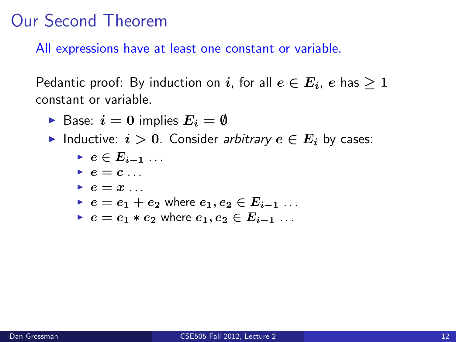#### Our Second Theorem

All expressions have at least one constant or variable.

Pedantic proof: By induction on i, for all  $e \in E_i$ , e has  $\geq 1$ constant or variable.

- Base:  $i = 0$  implies  $E_i = \emptyset$
- Inductive:  $i > 0$ . Consider arbitrary  $e \in E_i$  by cases:
	- $e \in E_{i-1}$ ...
	- $\blacktriangleright$  e = c ...
	- $\blacktriangleright$   $e = x$  .
	- $e = e_1 + e_2$  where  $e_1, e_2 \in E_{i-1}$ ...
	- $e = e_1 * e_2$  where  $e_1, e_2 \in E_{i-1}$ ...